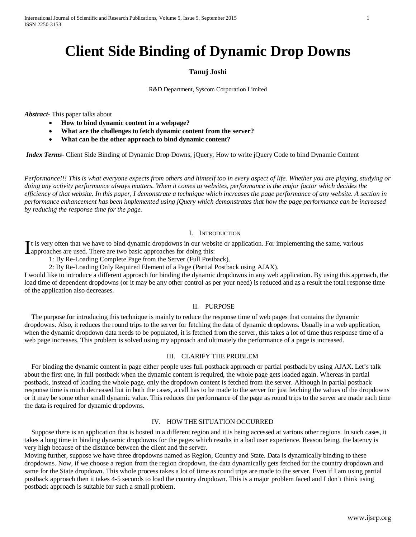# **Client Side Binding of Dynamic Drop Downs**

### **Tanuj Joshi**

R&D Department, Syscom Corporation Limited

*Abstract***-** This paper talks about

- **How to bind dynamic content in a webpage?**
- **What are the challenges to fetch dynamic content from the server?**
- **What can be the other approach to bind dynamic content?**

*Index Terms*- Client Side Binding of Dynamic Drop Downs, jQuery, How to write jQuery Code to bind Dynamic Content

*Performance!!! This is what everyone expects from others and himself too in every aspect of life. Whether you are playing, studying or doing any activity performance always matters. When it comes to websites, performance is the major factor which decides the efficiency of that website. In this paper, I demonstrate a technique which increases the page performance of any website. A section in performance enhancement has been implemented using jQuery which demonstrates that how the page performance can be increased by reducing the response time for the page.*

#### I. INTRODUCTION

It is very often that we have to bind dynamic dropdowns in our website or application. For implementing the same, various It is very often that we have to bind dynamic dropdowns in our webs<br>
approaches are used. There are two basic approaches for doing this:<br>  $\frac{1}{2}$ 

1: By Re-Loading Complete Page from the Server (Full Postback).

2: By Re-Loading Only Required Element of a Page (Partial Postback using AJAX).

I would like to introduce a different approach for binding the dynamic dropdowns in any web application. By using this approach, the load time of dependent dropdowns (or it may be any other control as per your need) is reduced and as a result the total response time of the application also decreases.

#### II. PURPOSE

 The purpose for introducing this technique is mainly to reduce the response time of web pages that contains the dynamic dropdowns. Also, it reduces the round trips to the server for fetching the data of dynamic dropdowns. Usually in a web application, when the dynamic dropdown data needs to be populated, it is fetched from the server, this takes a lot of time thus response time of a web page increases. This problem is solved using my approach and ultimately the performance of a page is increased.

#### III. CLARIFY THE PROBLEM

 For binding the dynamic content in page either people uses full postback approach or partial postback by using AJAX. Let's talk about the first one, in full postback when the dynamic content is required, the whole page gets loaded again. Whereas in partial postback, instead of loading the whole page, only the dropdown content is fetched from the server. Although in partial postback response time is much decreased but in both the cases, a call has to be made to the server for just fetching the values of the dropdowns or it may be some other small dynamic value. This reduces the performance of the page as round trips to the server are made each time the data is required for dynamic dropdowns.

## IV. HOW THE SITUATION OCCURRED

 Suppose there is an application that is hosted in a different region and it is being accessed at various other regions. In such cases, it takes a long time in binding dynamic dropdowns for the pages which results in a bad user experience. Reason being, the latency is very high because of the distance between the client and the server.

Moving further, suppose we have three dropdowns named as Region, Country and State. Data is dynamically binding to these dropdowns. Now, if we choose a region from the region dropdown, the data dynamically gets fetched for the country dropdown and same for the State dropdown. This whole process takes a lot of time as round trips are made to the server. Even if I am using partial postback approach then it takes 4-5 seconds to load the country dropdown. This is a major problem faced and I don't think using postback approach is suitable for such a small problem.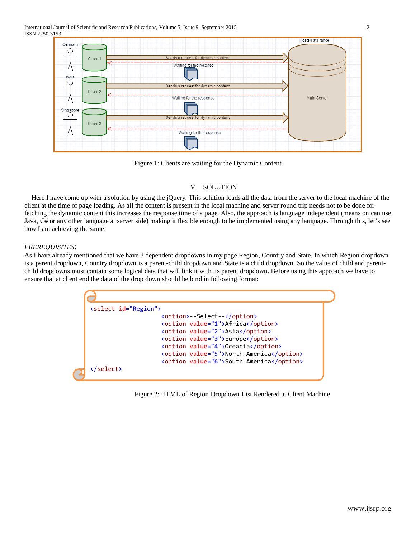

Figure 1: Clients are waiting for the Dynamic Content

# V. SOLUTION

 Here I have come up with a solution by using the jQuery. This solution loads all the data from the server to the local machine of the client at the time of page loading. As all the content is present in the local machine and server round trip needs not to be done for fetching the dynamic content this increases the response time of a page. Also, the approach is language independent (means on can use Java, C# or any other language at server side) making it flexible enough to be implemented using any language. Through this, let's see how I am achieving the same:

## *PREREQUISITES*:

C

As I have already mentioned that we have 3 dependent dropdowns in my page Region, Country and State. In which Region dropdown is a parent dropdown, Country dropdown is a parent-child dropdown and State is a child dropdown. So the value of child and parentchild dropdowns must contain some logical data that will link it with its parent dropdown. Before using this approach we have to ensure that at client end the data of the drop down should be bind in following format:

| <select id="Region"></select> |                                          |
|-------------------------------|------------------------------------------|
|                               | <option>--Select--</option>              |
|                               | <option value="1">Africa</option>        |
|                               | <option value="2">Asia</option>          |
|                               | <option value="3">Europe</option>        |
|                               | <option value="4">Oceania</option>       |
|                               | <option value="5">North America</option> |
|                               | <option value="6">South America</option> |

Figure 2: HTML of Region Dropdown List Rendered at Client Machine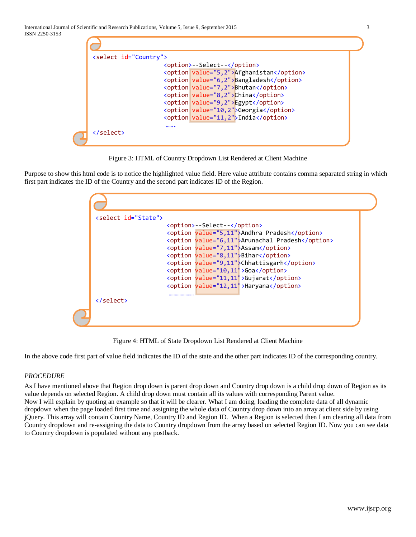| <select id="Country"></select> |                                          |
|--------------------------------|------------------------------------------|
|                                | <option>--Select--</option>              |
|                                | <option value="5,2">Afghanistan</option> |
|                                | <option value="6,2">Bangladesh</option>  |
|                                | <option value="7,2">Bhutan</option>      |
|                                | <option value="8,2">China</option>       |
|                                | <option value="9,2">Egypt</option>       |
|                                | <option value="10,2">Georgia</option>    |
|                                | <option value="11, 2">India</option>     |
|                                |                                          |

Figure 3: HTML of Country Dropdown List Rendered at Client Machine

Purpose to show this html code is to notice the highlighted value field. Here value attribute contains comma separated string in which first part indicates the ID of the Country and the second part indicates ID of the Region.

| select id="State"> |                             |                                                 |
|--------------------|-----------------------------|-------------------------------------------------|
|                    | <option>--Select--</option> |                                                 |
|                    |                             | <option value="5,11">Andhra Pradesh</option>    |
|                    |                             | <option value="6,11">Arunachal Pradesh</option> |
|                    |                             | <option value="7,11">Assam</option>             |
|                    |                             | <option value="8,11">Bihar</option>             |
|                    |                             | <option value="9,11">Chhattisgarh</option>      |
|                    |                             | <option value="10,11">Goa</option>              |
|                    |                             | <option value="11,11">Gujarat</option>          |
|                    |                             | <option value="12,11">Haryana</option>          |
|                    |                             |                                                 |
| $\langle$ /select> |                             |                                                 |

Figure 4: HTML of State Dropdown List Rendered at Client Machine

In the above code first part of value field indicates the ID of the state and the other part indicates ID of the corresponding country.

## *PROCEDURE*

As I have mentioned above that Region drop down is parent drop down and Country drop down is a child drop down of Region as its value depends on selected Region. A child drop down must contain all its values with corresponding Parent value. Now I will explain by quoting an example so that it will be clearer. What I am doing, loading the complete data of all dynamic dropdown when the page loaded first time and assigning the whole data of Country drop down into an array at client side by using jQuery. This array will contain Country Name, Country ID and Region ID. When a Region is selected then I am clearing all data from Country dropdown and re-assigning the data to Country dropdown from the array based on selected Region ID. Now you can see data to Country dropdown is populated without any postback.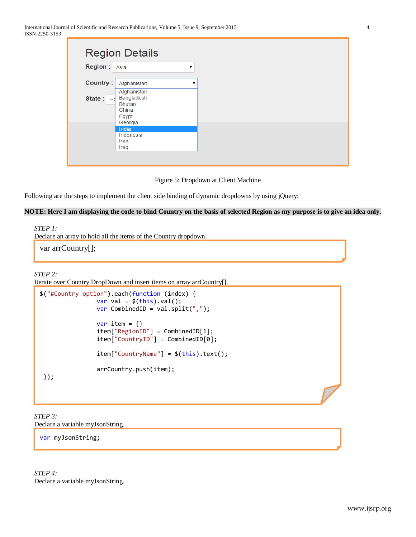| <b>Region Details</b><br><b>Region:</b><br>Asia | 7                                                                       |   |  |
|-------------------------------------------------|-------------------------------------------------------------------------|---|--|
| Country:                                        | Afghanistan                                                             | ▼ |  |
| State:<br>-- 5                                  | Afghanistan<br>Bangladesh<br><b>Bhutan</b><br>China<br>Egypt<br>Georgia |   |  |
| Iran<br>Iraq                                    | India<br>Indonesia                                                      |   |  |

Figure 5: Dropdown at Client Machine

Following are the steps to implement the client side binding of dynamic dropdowns by using jQuery:

## **NOTE: Here I am displaying the code to bind Country on the basis of selected Region as my purpose is to give an idea only.**

*STEP 1:* 

Declare an array to hold all the items of the Country dropdown.

var arrCountry[];

# *STEP 2:*

Iterate over Country DropDown and insert items on array arrCountry[].

```
$("#Country option").each(function (index) {
                var val = $(this).val();
                var CombinedID = val.split(",");
                var item = \{\} item["RegionID"] = CombinedID[1];
                 item["CountryID"] = CombinedID[0];
                 item["CountryName"] = $(this).text();
                 arrCountry.push(item);
});
```
*STEP 3:* Declare a variable myJsonString.

var myJsonString;

*STEP 4:* Declare a variable myJsonString.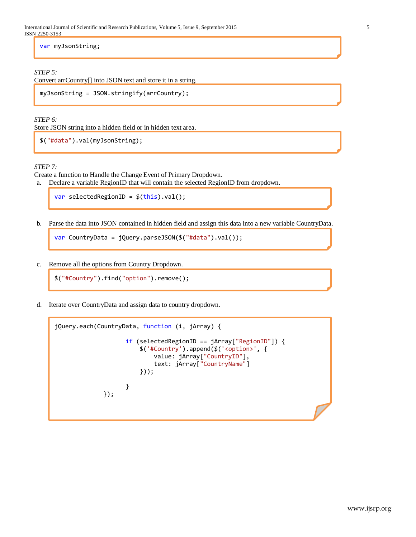var myJsonString;

## *STEP 5:*

Convert arrCountry[] into JSON text and store it in a string.

```
myJsonString = JSON.stringify(arrCountry);
```
*STEP 6:*

Store JSON string into a hidden field or in hidden text area.

```
$("#data").val(myJsonString);
```
## *STEP 7:*

Create a function to Handle the Change Event of Primary Dropdown.

a. Declare a variable RegionID that will contain the selected RegionID from dropdown.

```
var selectedRegionID = $(this).val();
```
b. Parse the data into JSON contained in hidden field and assign this data into a new variable CountryData.

var CountryData = jQuery.parseJSON(\$("#data").val());

c. Remove all the options from Country Dropdown.

```
$("#Country").find("option").remove();
```
d. Iterate over CountryData and assign data to country dropdown.

```
jQuery.each(CountryData, function (i, jArray) {
                    if (selectedRegionID == jArray["RegionID"]) {
                        $('#Country').append($('<option>', {
                           value: jArray["CountryID"],
                          text: jArray["CountryName"]
                       }));
 }
              });
```